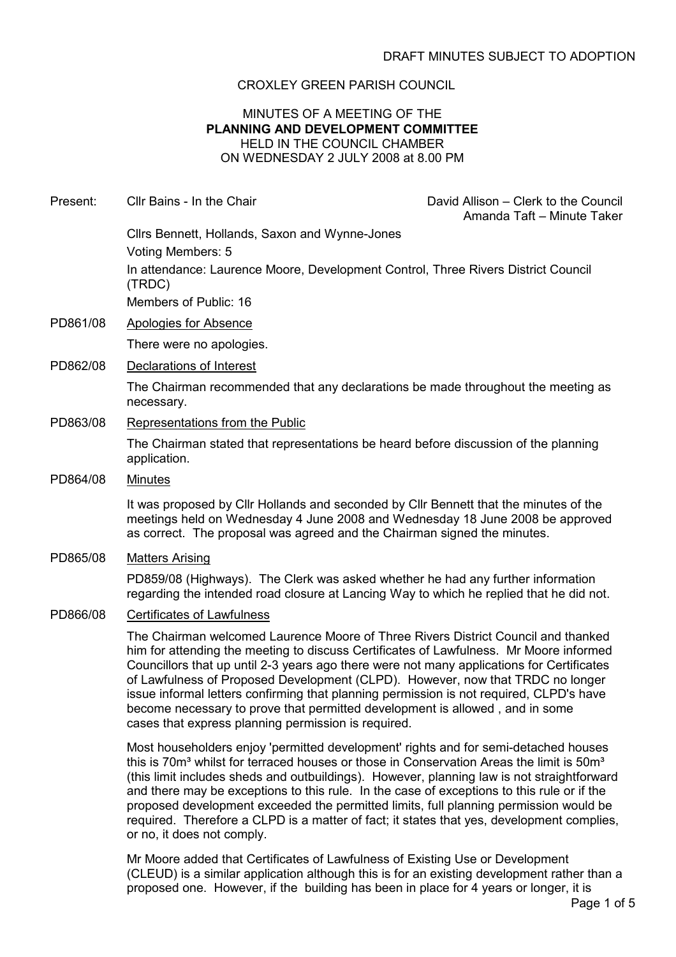## CROXLEY GREEN PARISH COUNCIL

### MINUTES OF A MEETING OF THE PLANNING AND DEVELOPMENT COMMITTEE HELD IN THE COUNCIL CHAMBER ON WEDNESDAY 2 JULY 2008 at 8.00 PM

Present: Cllr Bains - In the Chair David Allison – Clerk to the Council Amanda Taft – Minute Taker Cllrs Bennett, Hollands, Saxon and Wynne-Jones Voting Members: 5 In attendance: Laurence Moore, Development Control, Three Rivers District Council (TRDC) Members of Public: 16 PD861/08 Apologies for Absence There were no apologies. PD862/08 Declarations of Interest The Chairman recommended that any declarations be made throughout the meeting as necessary. PD863/08 Representations from the Public The Chairman stated that representations be heard before discussion of the planning application. PD864/08 Minutes It was proposed by Cllr Hollands and seconded by Cllr Bennett that the minutes of the meetings held on Wednesday 4 June 2008 and Wednesday 18 June 2008 be approved as correct. The proposal was agreed and the Chairman signed the minutes. PD865/08 Matters Arising PD859/08 (Highways). The Clerk was asked whether he had any further information regarding the intended road closure at Lancing Way to which he replied that he did not. PD866/08 Certificates of Lawfulness The Chairman welcomed Laurence Moore of Three Rivers District Council and thanked him for attending the meeting to discuss Certificates of Lawfulness. Mr Moore informed Councillors that up until 2-3 years ago there were not many applications for Certificates of Lawfulness of Proposed Development (CLPD). However, now that TRDC no longer issue informal letters confirming that planning permission is not required, CLPD's have

> Most householders enjoy 'permitted development' rights and for semi-detached houses this is 70m<sup>3</sup> whilst for terraced houses or those in Conservation Areas the limit is 50m<sup>3</sup> (this limit includes sheds and outbuildings). However, planning law is not straightforward and there may be exceptions to this rule. In the case of exceptions to this rule or if the proposed development exceeded the permitted limits, full planning permission would be required. Therefore a CLPD is a matter of fact; it states that yes, development complies, or no, it does not comply.

become necessary to prove that permitted development is allowed , and in some

cases that express planning permission is required.

Mr Moore added that Certificates of Lawfulness of Existing Use or Development (CLEUD) is a similar application although this is for an existing development rather than a proposed one. However, if the building has been in place for 4 years or longer, it is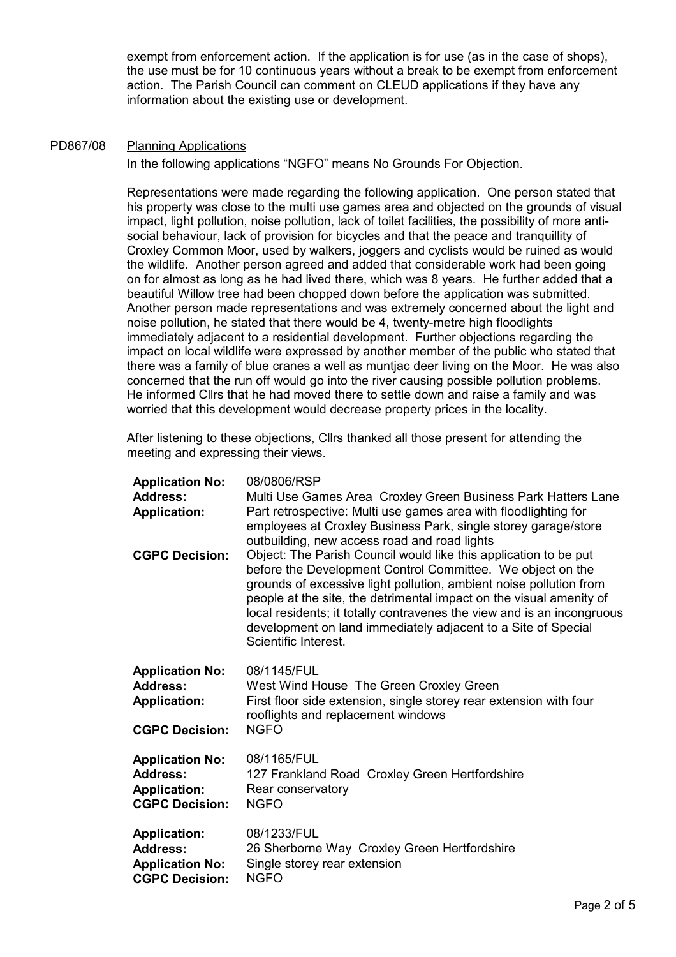exempt from enforcement action. If the application is for use (as in the case of shops), the use must be for 10 continuous years without a break to be exempt from enforcement action. The Parish Council can comment on CLEUD applications if they have any information about the existing use or development.

#### PD867/08 Planning Applications

In the following applications "NGFO" means No Grounds For Objection.

Representations were made regarding the following application. One person stated that his property was close to the multi use games area and objected on the grounds of visual impact, light pollution, noise pollution, lack of toilet facilities, the possibility of more antisocial behaviour, lack of provision for bicycles and that the peace and tranquillity of Croxley Common Moor, used by walkers, joggers and cyclists would be ruined as would the wildlife. Another person agreed and added that considerable work had been going on for almost as long as he had lived there, which was 8 years. He further added that a beautiful Willow tree had been chopped down before the application was submitted. Another person made representations and was extremely concerned about the light and noise pollution, he stated that there would be 4, twenty-metre high floodlights immediately adjacent to a residential development. Further objections regarding the impact on local wildlife were expressed by another member of the public who stated that there was a family of blue cranes a well as muntjac deer living on the Moor. He was also concerned that the run off would go into the river causing possible pollution problems. He informed Cllrs that he had moved there to settle down and raise a family and was worried that this development would decrease property prices in the locality.

After listening to these objections, Cllrs thanked all those present for attending the meeting and expressing their views.

| <b>Application No:</b><br><b>Address:</b><br><b>Application:</b>                          | 08/0806/RSP<br>Multi Use Games Area Croxley Green Business Park Hatters Lane<br>Part retrospective: Multi use games area with floodlighting for<br>employees at Croxley Business Park, single storey garage/store<br>outbuilding, new access road and road lights                                                                                                                                                                              |
|-------------------------------------------------------------------------------------------|------------------------------------------------------------------------------------------------------------------------------------------------------------------------------------------------------------------------------------------------------------------------------------------------------------------------------------------------------------------------------------------------------------------------------------------------|
| <b>CGPC Decision:</b>                                                                     | Object: The Parish Council would like this application to be put<br>before the Development Control Committee. We object on the<br>grounds of excessive light pollution, ambient noise pollution from<br>people at the site, the detrimental impact on the visual amenity of<br>local residents; it totally contravenes the view and is an incongruous<br>development on land immediately adjacent to a Site of Special<br>Scientific Interest. |
| <b>Application No:</b><br><b>Address:</b><br><b>Application:</b><br><b>CGPC Decision:</b> | 08/1145/FUL<br>West Wind House The Green Croxley Green<br>First floor side extension, single storey rear extension with four<br>rooflights and replacement windows<br><b>NGFO</b>                                                                                                                                                                                                                                                              |
| <b>Application No:</b><br><b>Address:</b><br><b>Application:</b><br><b>CGPC Decision:</b> | 08/1165/FUL<br>127 Frankland Road Croxley Green Hertfordshire<br>Rear conservatory<br><b>NGFO</b>                                                                                                                                                                                                                                                                                                                                              |
| <b>Application:</b><br><b>Address:</b><br><b>Application No:</b><br><b>CGPC Decision:</b> | 08/1233/FUL<br>26 Sherborne Way Croxley Green Hertfordshire<br>Single storey rear extension<br><b>NGFO</b>                                                                                                                                                                                                                                                                                                                                     |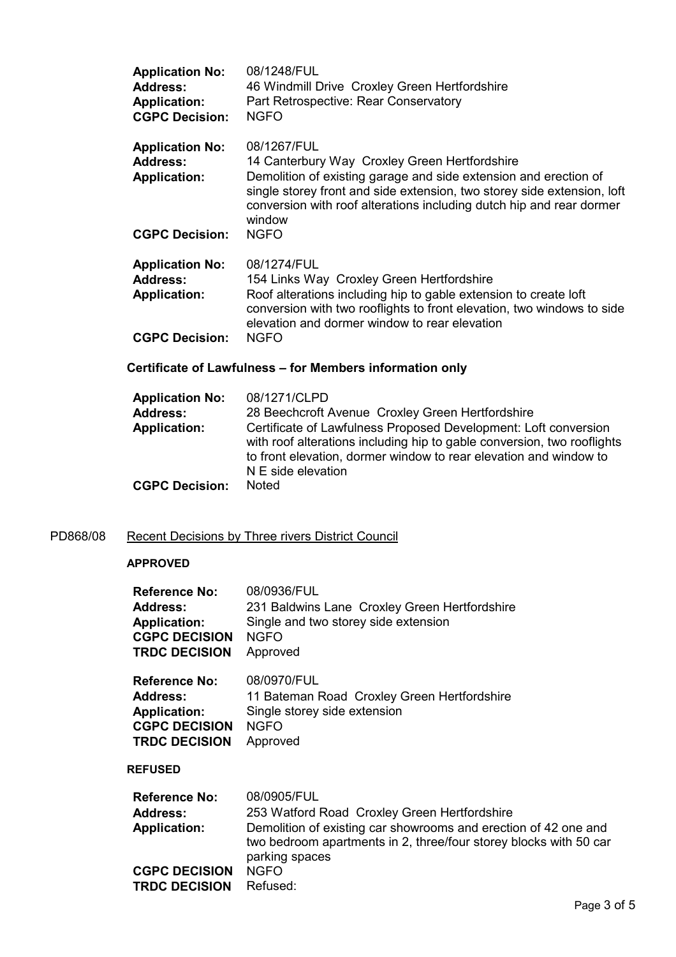| <b>Application No:</b><br>Address:<br><b>Application:</b><br><b>CGPC Decision:</b>        | 08/1248/FUL<br>46 Windmill Drive Croxley Green Hertfordshire<br>Part Retrospective: Rear Conservatory<br><b>NGFO</b>                                                                                                                                                                          |
|-------------------------------------------------------------------------------------------|-----------------------------------------------------------------------------------------------------------------------------------------------------------------------------------------------------------------------------------------------------------------------------------------------|
| <b>Application No:</b><br><b>Address:</b><br><b>Application:</b>                          | 08/1267/FUL<br>14 Canterbury Way Croxley Green Hertfordshire<br>Demolition of existing garage and side extension and erection of<br>single storey front and side extension, two storey side extension, loft<br>conversion with roof alterations including dutch hip and rear dormer<br>window |
| <b>CGPC Decision:</b>                                                                     | <b>NGFO</b>                                                                                                                                                                                                                                                                                   |
| <b>Application No:</b><br><b>Address:</b><br><b>Application:</b><br><b>CGPC Decision:</b> | 08/1274/FUL<br>154 Links Way Croxley Green Hertfordshire<br>Roof alterations including hip to gable extension to create loft<br>conversion with two rooflights to front elevation, two windows to side<br>elevation and dormer window to rear elevation<br><b>NGFO</b>                        |
|                                                                                           |                                                                                                                                                                                                                                                                                               |

# Certificate of Lawfulness – for Members information only

| <b>Application No:</b><br><b>Address:</b> | 08/1271/CLPD<br>28 Beechcroft Avenue Croxley Green Hertfordshire                                                                                                                                                                      |
|-------------------------------------------|---------------------------------------------------------------------------------------------------------------------------------------------------------------------------------------------------------------------------------------|
| <b>Application:</b>                       | Certificate of Lawfulness Proposed Development: Loft conversion<br>with roof alterations including hip to gable conversion, two rooflights<br>to front elevation, dormer window to rear elevation and window to<br>N E side elevation |
| <b>CGPC Decision:</b>                     | <b>Noted</b>                                                                                                                                                                                                                          |

# PD868/08 Recent Decisions by Three rivers District Council

#### APPROVED

| <b>Reference No:</b> | 08/0936/FUL                                                     |
|----------------------|-----------------------------------------------------------------|
| <b>Address:</b>      | 231 Baldwins Lane Croxley Green Hertfordshire                   |
| <b>Application:</b>  | Single and two storey side extension                            |
| <b>CGPC DECISION</b> | <b>NGFO</b>                                                     |
| <b>TRDC DECISION</b> | Approved                                                        |
| <b>Reference No:</b> | 08/0970/FUL                                                     |
| <b>Address:</b>      | 11 Bateman Road Croxley Green Hertfordshire                     |
| <b>Application:</b>  | Single storey side extension                                    |
| <b>CGPC DECISION</b> | <b>NGFO</b>                                                     |
| <b>TRDC DECISION</b> | Approved                                                        |
| <b>REFUSED</b>       |                                                                 |
| Reference No:        | 08/0905/FUL                                                     |
| <b>Address:</b>      | 253 Watford Road Croxley Green Hertfordshire                    |
| <b>Application:</b>  | Demolition of existing car showrooms and erection of 42 one and |

parking spaces

CGPC DECISION NGFO TRDC DECISION Refused:

two bedroom apartments in 2, three/four storey blocks with 50 car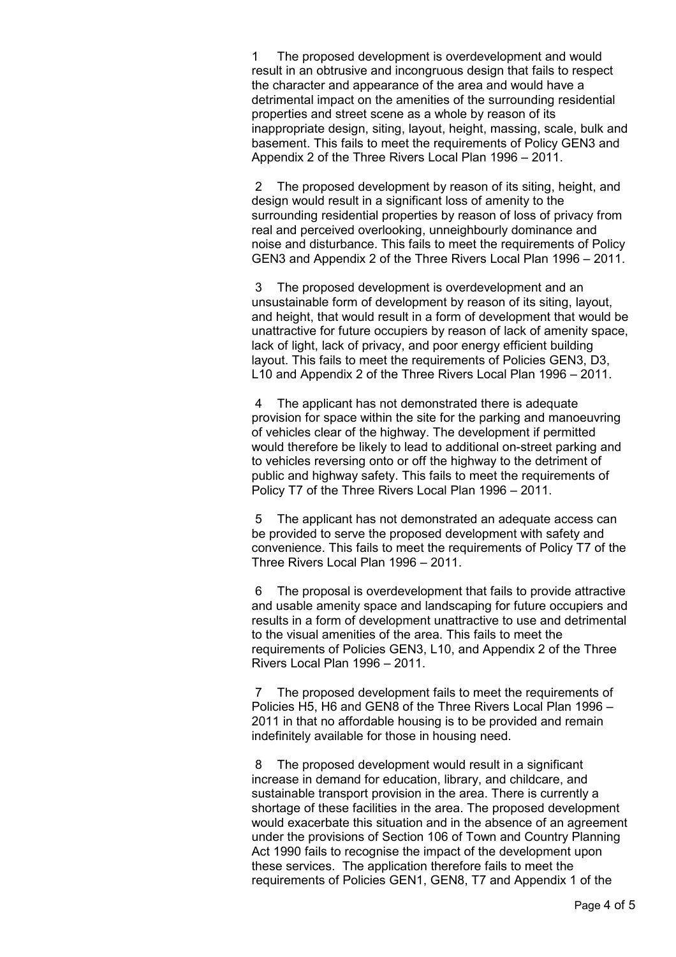1 The proposed development is overdevelopment and would result in an obtrusive and incongruous design that fails to respect the character and appearance of the area and would have a detrimental impact on the amenities of the surrounding residential properties and street scene as a whole by reason of its inappropriate design, siting, layout, height, massing, scale, bulk and basement. This fails to meet the requirements of Policy GEN3 and Appendix 2 of the Three Rivers Local Plan 1996 – 2011.

 2 The proposed development by reason of its siting, height, and design would result in a significant loss of amenity to the surrounding residential properties by reason of loss of privacy from real and perceived overlooking, unneighbourly dominance and noise and disturbance. This fails to meet the requirements of Policy GEN3 and Appendix 2 of the Three Rivers Local Plan 1996 – 2011.

 3 The proposed development is overdevelopment and an unsustainable form of development by reason of its siting, layout, and height, that would result in a form of development that would be unattractive for future occupiers by reason of lack of amenity space, lack of light, lack of privacy, and poor energy efficient building layout. This fails to meet the requirements of Policies GEN3, D3, L10 and Appendix 2 of the Three Rivers Local Plan 1996 – 2011.

 4 The applicant has not demonstrated there is adequate provision for space within the site for the parking and manoeuvring of vehicles clear of the highway. The development if permitted would therefore be likely to lead to additional on-street parking and to vehicles reversing onto or off the highway to the detriment of public and highway safety. This fails to meet the requirements of Policy T7 of the Three Rivers Local Plan 1996 – 2011.

 5 The applicant has not demonstrated an adequate access can be provided to serve the proposed development with safety and convenience. This fails to meet the requirements of Policy T7 of the Three Rivers Local Plan 1996 – 2011.

 6 The proposal is overdevelopment that fails to provide attractive and usable amenity space and landscaping for future occupiers and results in a form of development unattractive to use and detrimental to the visual amenities of the area. This fails to meet the requirements of Policies GEN3, L10, and Appendix 2 of the Three Rivers Local Plan 1996 – 2011.

 7 The proposed development fails to meet the requirements of Policies H5, H6 and GEN8 of the Three Rivers Local Plan 1996 – 2011 in that no affordable housing is to be provided and remain indefinitely available for those in housing need.

 8 The proposed development would result in a significant increase in demand for education, library, and childcare, and sustainable transport provision in the area. There is currently a shortage of these facilities in the area. The proposed development would exacerbate this situation and in the absence of an agreement under the provisions of Section 106 of Town and Country Planning Act 1990 fails to recognise the impact of the development upon these services. The application therefore fails to meet the requirements of Policies GEN1, GEN8, T7 and Appendix 1 of the